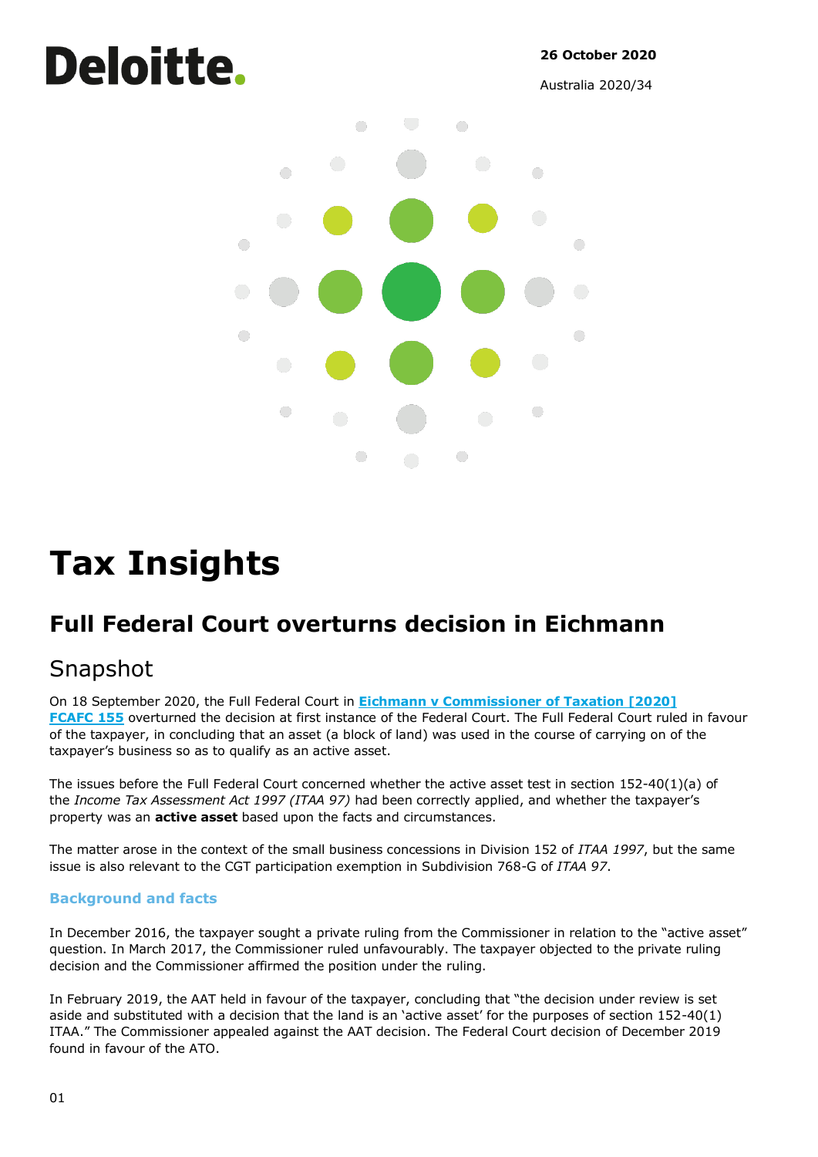# Deloitte.

**26 October 2020**

Australia 2020/34



# **Tax Insights**

## **Full Federal Court overturns decision in Eichmann**

### Snapshot

On 18 September 2020, the Full Federal Court in **Eichmann v [Commissioner](https://www.judgments.fedcourt.gov.au/judgments/Judgments/fca/full/2020/2020fcafc0155) of Taxation [2020] [FCAFC](https://www.judgments.fedcourt.gov.au/judgments/Judgments/fca/full/2020/2020fcafc0155) 155** overturned the decision at first instance of the Federal Court. The Full Federal Court ruled in favour of the taxpayer, in concluding that an asset (a block of land) was used in the course of carrying on of the taxpayer's business so as to qualify as an active asset.

The issues before the Full Federal Court concerned whether the active asset test in section 152-40(1)(a) of the *Income Tax Assessment Act 1997 (ITAA 97)* had been correctly applied, and whether the taxpayer's property was an **active asset** based upon the facts and circumstances.

The matter arose in the context of the small business concessions in Division 152 of *ITAA 1997*, but the same issue is also relevant to the CGT participation exemption in Subdivision 768-G of *ITAA 97*.

#### **Background and facts**

In December 2016, the taxpayer sought a private ruling from the Commissioner in relation to the "active asset" question. In March 2017, the Commissioner ruled unfavourably. The taxpayer objected to the private ruling decision and the Commissioner affirmed the position under the ruling.

In February 2019, the AAT held in favour of the taxpayer, concluding that "the decision under review is set aside and substituted with a decision that the land is an 'active asset' for the purposes of section 152-40(1) ITAA." The Commissioner appealed against the AAT decision. The Federal Court decision of December 2019 found in favour of the ATO.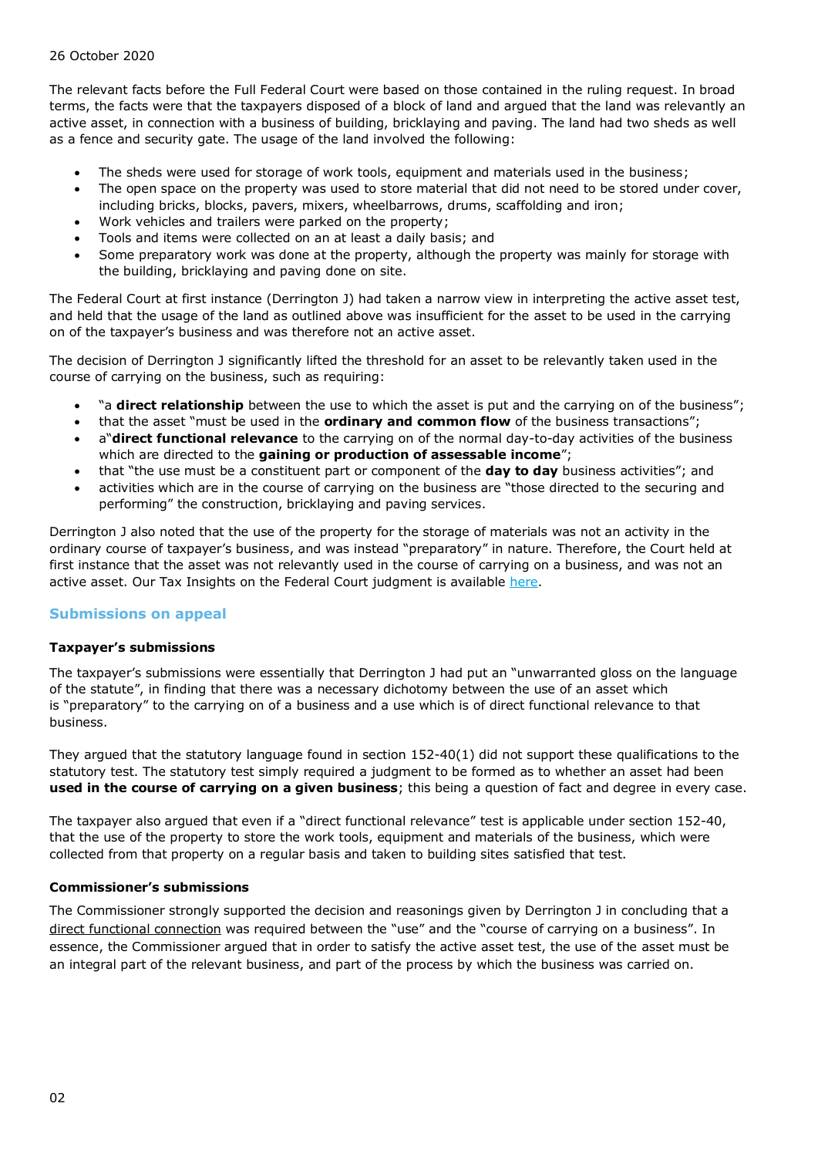#### 26 October 2020

The relevant facts before the Full Federal Court were based on those contained in the ruling request. In broad terms, the facts were that the taxpayers disposed of a block of land and argued that the land was relevantly an active asset, in connection with a business of building, bricklaying and paving. The land had two sheds as well as a fence and security gate. The usage of the land involved the following:

- The sheds were used for storage of work tools, equipment and materials used in the business;
- The open space on the property was used to store material that did not need to be stored under cover, including bricks, blocks, pavers, mixers, wheelbarrows, drums, scaffolding and iron;
- Work vehicles and trailers were parked on the property;
- Tools and items were collected on an at least a daily basis; and
- Some preparatory work was done at the property, although the property was mainly for storage with the building, bricklaying and paving done on site.

The Federal Court at first instance (Derrington J) had taken a narrow view in interpreting the active asset test, and held that the usage of the land as outlined above was insufficient for the asset to be used in the carrying on of the taxpayer's business and was therefore not an active asset.

The decision of Derrington J significantly lifted the threshold for an asset to be relevantly taken used in the course of carrying on the business, such as requiring:

- "a **direct relationship** between the use to which the asset is put and the carrying on of the business";
- that the asset "must be used in the **ordinary and common flow** of the business transactions";
- a"**direct functional relevance** to the carrying on of the normal day-to-day activities of the business which are directed to the **gaining or production of assessable income**";
- that "the use must be a constituent part or component of the **day to day** business activities"; and
- activities which are in the course of carrying on the business are "those directed to the securing and performing" the construction, bricklaying and paving services.

Derrington J also noted that the use of the property for the storage of materials was not an activity in the ordinary course of taxpayer's business, and was instead "preparatory" in nature. Therefore, the Court held at first instance that the asset was not relevantly used in the course of carrying on a business, and was not an active asset. Our Tax Insights on the Federal Court judgment is available [here.](https://www2.deloitte.com/au/en/pages/tax/articles/eichmann-decision-lifts-bar-active-asset-test.html)

#### **Submissions on appeal**

#### **Taxpayer's submissions**

The taxpayer's submissions were essentially that Derrington J had put an "unwarranted gloss on the language of the statute", in finding that there was a necessary dichotomy between the use of an asset which is "preparatory" to the carrying on of a business and a use which is of direct functional relevance to that business.

They argued that the statutory language found in section 152-40(1) did not support these qualifications to the statutory test. The statutory test simply required a judgment to be formed as to whether an asset had been **used in the course of carrying on a given business**; this being a question of fact and degree in every case.

The taxpayer also argued that even if a "direct functional relevance" test is applicable under section 152-40, that the use of the property to store the work tools, equipment and materials of the business, which were collected from that property on a regular basis and taken to building sites satisfied that test.

#### **Commissioner's submissions**

The Commissioner strongly supported the decision and reasonings given by Derrington J in concluding that a direct functional connection was required between the "use" and the "course of carrying on a business". In essence, the Commissioner argued that in order to satisfy the active asset test, the use of the asset must be an integral part of the relevant business, and part of the process by which the business was carried on.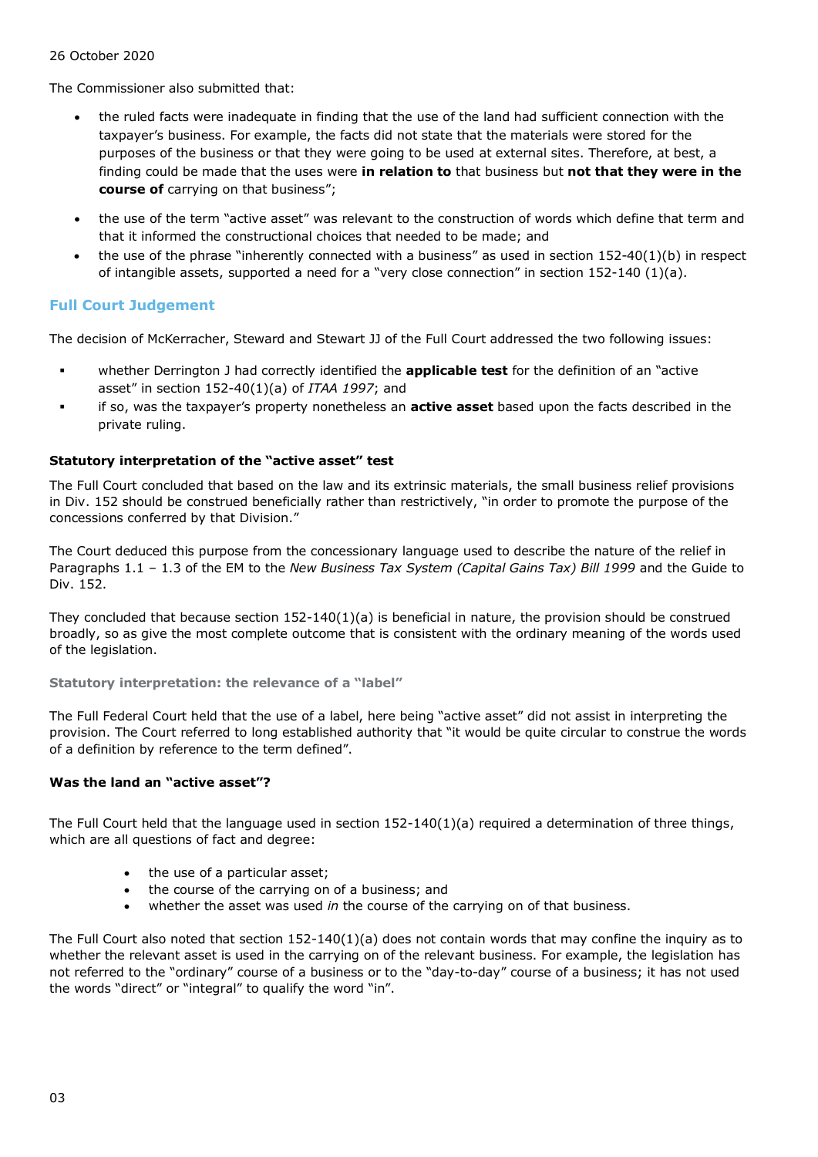#### 26 October 2020

The Commissioner also submitted that:

- the ruled facts were inadequate in finding that the use of the land had sufficient connection with the taxpayer's business. For example, the facts did not state that the materials were stored for the purposes of the business or that they were going to be used at external sites. Therefore, at best, a finding could be made that the uses were **in relation to** that business but **not that they were in the course of** carrying on that business";
- the use of the term "active asset" was relevant to the construction of words which define that term and that it informed the constructional choices that needed to be made; and
- the use of the phrase "inherently connected with a business" as used in section  $152-40(1)(b)$  in respect of intangible assets, supported a need for a "very close connection" in section 152-140 (1)(a).

#### **Full Court Judgement**

The decision of McKerracher, Steward and Stewart JJ of the Full Court addressed the two following issues:

- whether Derrington J had correctly identified the **applicable test** for the definition of an "active asset" in section 152-40(1)(a) of *ITAA 1997*; and
- if so, was the taxpayer's property nonetheless an **active asset** based upon the facts described in the private ruling.

#### **Statutory interpretation of the "active asset" test**

The Full Court concluded that based on the law and its extrinsic materials, the small business relief provisions in Div. 152 should be construed beneficially rather than restrictively, "in order to promote the purpose of the concessions conferred by that Division."

The Court deduced this purpose from the concessionary language used to describe the nature of the relief in Paragraphs 1.1 - 1.3 of the EM to the *New Business Tax System (Capital Gains Tax) Bill 1999* and the Guide to Div. 152.

They concluded that because section  $152-140(1)(a)$  is beneficial in nature, the provision should be construed broadly, so as give the most complete outcome that is consistent with the ordinary meaning of the words used of the legislation.

**Statutory interpretation: the relevance of a "label"**

The Full Federal Court held that the use of a label, here being "active asset" did not assist in interpreting the provision. The Court referred to long established authority that "it would be quite circular to construe the words of a definition by reference to the term defined".

#### **Was the land an "active asset"?**

The Full Court held that the language used in section 152-140(1)(a) required a determination of three things, which are all questions of fact and degree:

- the use of a particular asset;
- the course of the carrying on of a business; and
- whether the asset was used *in* the course of the carrying on of that business.

The Full Court also noted that section  $152-140(1)(a)$  does not contain words that may confine the inquiry as to whether the relevant asset is used in the carrying on of the relevant business. For example, the legislation has not referred to the "ordinary" course of a business or to the "day-to-day" course of a business; it has not used the words "direct" or "integral" to qualify the word "in".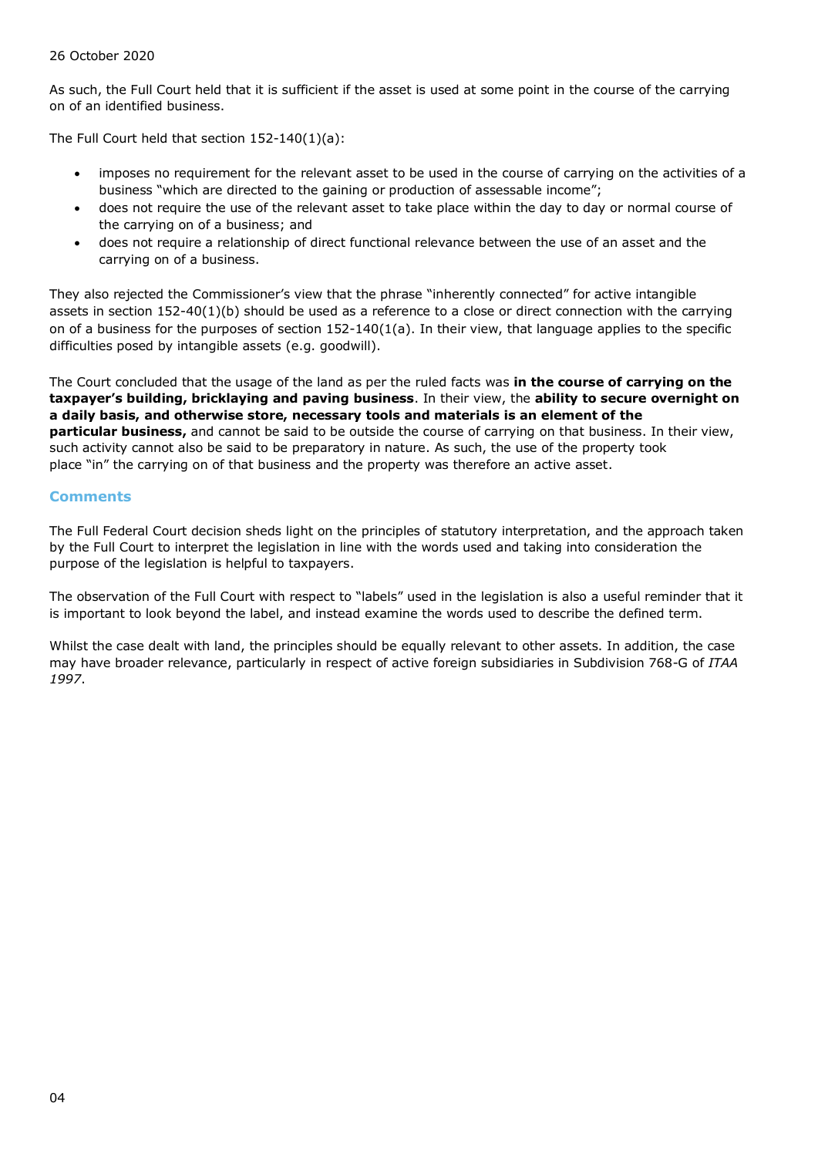#### 26 October 2020

As such, the Full Court held that it is sufficient if the asset is used at some point in the course of the carrying on of an identified business.

The Full Court held that section 152-140(1)(a):

- imposes no requirement for the relevant asset to be used in the course of carrying on the activities of a business "which are directed to the gaining or production of assessable income";
- does not require the use of the relevant asset to take place within the day to day or normal course of the carrying on of a business; and
- does not require a relationship of direct functional relevance between the use of an asset and the carrying on of a business.

They also rejected the Commissioner's view that the phrase "inherently connected" for active intangible assets in section 152-40(1)(b) should be used as a reference to a close or direct connection with the carrying on of a business for the purposes of section  $152-140(1(a))$ . In their view, that language applies to the specific difficulties posed by intangible assets (e.g. goodwill).

The Court concluded that the usage of the land as per the ruled facts was **in the course of carrying on the taxpayer's building, bricklaying and paving business**. In their view, the **ability to secure overnight on a daily basis, and otherwise store, necessary tools and materials is an element of the particular business,** and cannot be said to be outside the course of carrying on that business. In their view, such activity cannot also be said to be preparatory in nature. As such, the use of the property took place "in" the carrying on of that business and the property was therefore an active asset.

#### **Comments**

The Full Federal Court decision sheds light on the principles of statutory interpretation, and the approach taken by the Full Court to interpret the legislation in line with the words used and taking into consideration the purpose of the legislation is helpful to taxpayers.

The observation of the Full Court with respect to "labels" used in the legislation is also a useful reminder that it is important to look beyond the label, and instead examine the words used to describe the defined term.

Whilst the case dealt with land, the principles should be equally relevant to other assets. In addition, the case may have broader relevance, particularly in respect of active foreign subsidiaries in Subdivision 768-G of *ITAA 1997*.